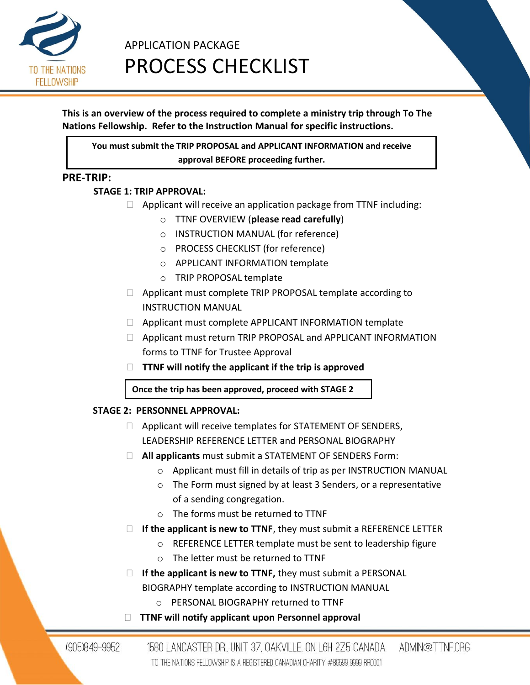

# APPLICATION PACKAGE PROCESS CHECKLIST

# **This is an overview of the process required to complete a ministry trip through To The Nations Fellowship. Refer to the Instruction Manual for specific instructions.**

**You must submit the TRIP PROPOSAL and APPLICANT INFORMATION and receive approval BEFORE proceeding further.**

# **PRE-TRIP:**

# **STAGE 1: TRIP APPROVAL:**

- $\Box$  Applicant will receive an application package from TTNF including:
	- o TTNF OVERVIEW (**please read carefully**)
	- o INSTRUCTION MANUAL (for reference)
	- o PROCESS CHECKLIST (for reference)
	- o APPLICANT INFORMATION template
	- o TRIP PROPOSAL template
- □ Applicant must complete TRIP PROPOSAL template according to INSTRUCTION MANUAL
- □ Applicant must complete APPLICANT INFORMATION template
- Applicant must return TRIP PROPOSAL and APPLICANT INFORMATION forms to TTNF for Trustee Approval
- **TTNF will notify the applicant if the trip is approved**

**Once the trip has been approved, proceed with STAGE 2**

# **STAGE 2: PERSONNEL APPROVAL:**

- $\Box$  Applicant will receive templates for STATEMENT OF SENDERS, LEADERSHIP REFERENCE LETTER and PERSONAL BIOGRAPHY
- **All applicants** must submit a STATEMENT OF SENDERS Form:
	- o Applicant must fill in details of trip as per INSTRUCTION MANUAL
	- o The Form must signed by at least 3 Senders, or a representative of a sending congregation.
	- o The forms must be returned to TTNF
- **If the applicant is new to TTNF**, they must submit a REFERENCE LETTER
	- o REFERENCE LETTER template must be sent to leadership figure
	- o The letter must be returned to TTNF
- □ **If the applicant is new to TTNF,** they must submit a PERSONAL BIOGRAPHY template according to INSTRUCTION MANUAL
	- o PERSONAL BIOGRAPHY returned to TTNF
- **TTNF will notify applicant upon Personnel approval**